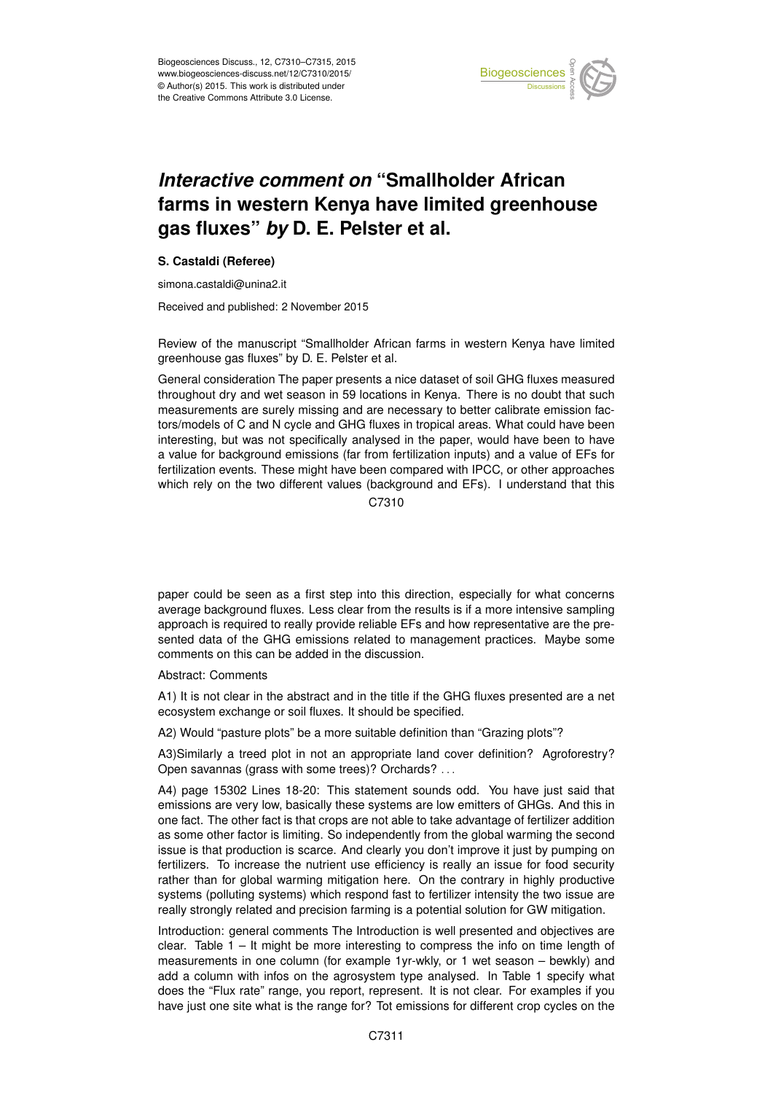

## *Interactive comment on* **"Smallholder African farms in western Kenya have limited greenhouse gas fluxes"** *by* **D. E. Pelster et al.**

## **S. Castaldi (Referee)**

simona.castaldi@unina2.it

Received and published: 2 November 2015

Review of the manuscript "Smallholder African farms in western Kenya have limited greenhouse gas fluxes" by D. E. Pelster et al.

General consideration The paper presents a nice dataset of soil GHG fluxes measured throughout dry and wet season in 59 locations in Kenya. There is no doubt that such measurements are surely missing and are necessary to better calibrate emission factors/models of C and N cycle and GHG fluxes in tropical areas. What could have been interesting, but was not specifically analysed in the paper, would have been to have a value for background emissions (far from fertilization inputs) and a value of EFs for fertilization events. These might have been compared with IPCC, or other approaches which rely on the two different values (background and EFs). I understand that this

C<sub>7310</sub>

paper could be seen as a first step into this direction, especially for what concerns average background fluxes. Less clear from the results is if a more intensive sampling approach is required to really provide reliable EFs and how representative are the presented data of the GHG emissions related to management practices. Maybe some comments on this can be added in the discussion.

Abstract: Comments

A1) It is not clear in the abstract and in the title if the GHG fluxes presented are a net ecosystem exchange or soil fluxes. It should be specified.

A2) Would "pasture plots" be a more suitable definition than "Grazing plots"?

A3)Similarly a treed plot in not an appropriate land cover definition? Agroforestry? Open savannas (grass with some trees)? Orchards? . . .

A4) page 15302 Lines 18-20: This statement sounds odd. You have just said that emissions are very low, basically these systems are low emitters of GHGs. And this in one fact. The other fact is that crops are not able to take advantage of fertilizer addition as some other factor is limiting. So independently from the global warming the second issue is that production is scarce. And clearly you don't improve it just by pumping on fertilizers. To increase the nutrient use efficiency is really an issue for food security rather than for global warming mitigation here. On the contrary in highly productive systems (polluting systems) which respond fast to fertilizer intensity the two issue are really strongly related and precision farming is a potential solution for GW mitigation.

Introduction: general comments The Introduction is well presented and objectives are clear. Table 1 – It might be more interesting to compress the info on time length of measurements in one column (for example 1yr-wkly, or 1 wet season – bewkly) and add a column with infos on the agrosystem type analysed. In Table 1 specify what does the "Flux rate" range, you report, represent. It is not clear. For examples if you have just one site what is the range for? Tot emissions for different crop cycles on the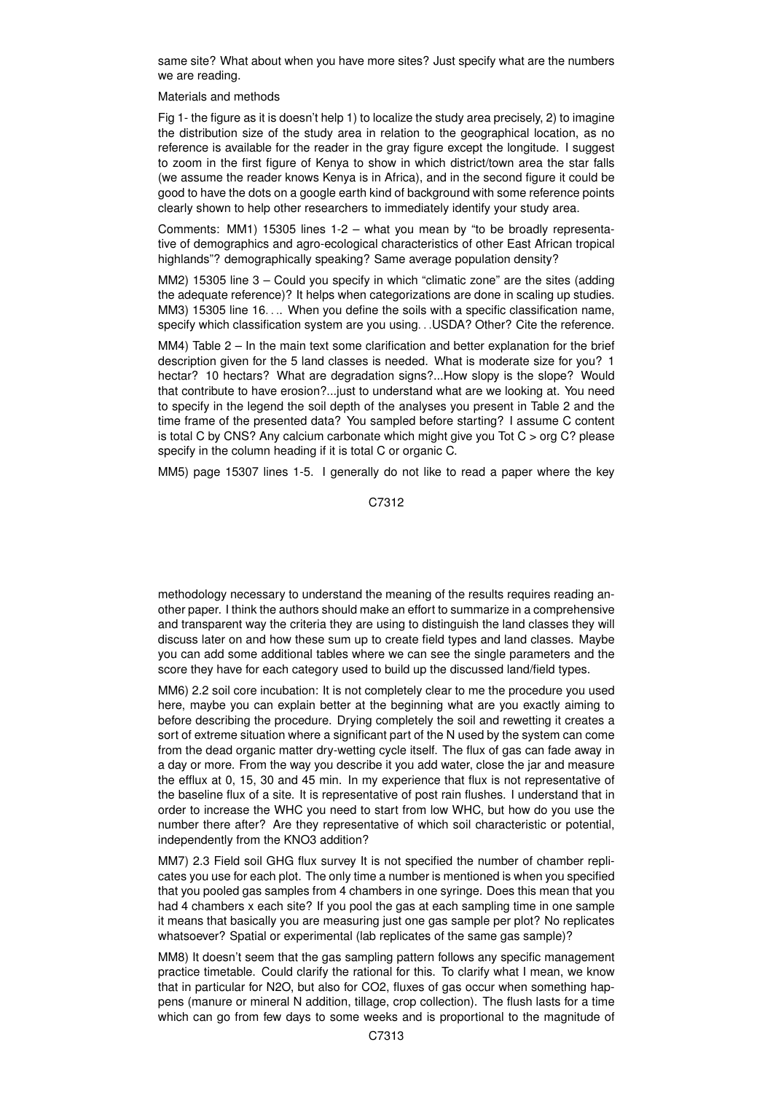same site? What about when you have more sites? Just specify what are the numbers we are reading.

## Materials and methods

Fig 1- the figure as it is doesn't help 1) to localize the study area precisely, 2) to imagine the distribution size of the study area in relation to the geographical location, as no reference is available for the reader in the gray figure except the longitude. I suggest to zoom in the first figure of Kenya to show in which district/town area the star falls (we assume the reader knows Kenya is in Africa), and in the second figure it could be good to have the dots on a google earth kind of background with some reference points clearly shown to help other researchers to immediately identify your study area.

Comments: MM1) 15305 lines 1-2 – what you mean by "to be broadly representative of demographics and agro-ecological characteristics of other East African tropical highlands"? demographically speaking? Same average population density?

MM2) 15305 line 3 – Could you specify in which "climatic zone" are the sites (adding the adequate reference)? It helps when categorizations are done in scaling up studies. MM3) 15305 line 16.... When you define the soils with a specific classification name, specify which classification system are you using. . .USDA? Other? Cite the reference.

MM4) Table 2 – In the main text some clarification and better explanation for the brief description given for the 5 land classes is needed. What is moderate size for you? 1 hectar? 10 hectars? What are degradation signs?...How slopy is the slope? Would that contribute to have erosion?...just to understand what are we looking at. You need to specify in the legend the soil depth of the analyses you present in Table 2 and the time frame of the presented data? You sampled before starting? I assume C content is total C by CNS? Any calcium carbonate which might give you Tot  $C >$  org  $C$ ? please specify in the column heading if it is total C or organic C.

MM5) page 15307 lines 1-5. I generally do not like to read a paper where the key

C7312

methodology necessary to understand the meaning of the results requires reading another paper. I think the authors should make an effort to summarize in a comprehensive and transparent way the criteria they are using to distinguish the land classes they will discuss later on and how these sum up to create field types and land classes. Maybe you can add some additional tables where we can see the single parameters and the score they have for each category used to build up the discussed land/field types.

MM6) 2.2 soil core incubation: It is not completely clear to me the procedure you used here, maybe you can explain better at the beginning what are you exactly aiming to before describing the procedure. Drying completely the soil and rewetting it creates a sort of extreme situation where a significant part of the N used by the system can come from the dead organic matter dry-wetting cycle itself. The flux of gas can fade away in a day or more. From the way you describe it you add water, close the jar and measure the efflux at 0, 15, 30 and 45 min. In my experience that flux is not representative of the baseline flux of a site. It is representative of post rain flushes. I understand that in order to increase the WHC you need to start from low WHC, but how do you use the number there after? Are they representative of which soil characteristic or potential, independently from the KNO3 addition?

MM7) 2.3 Field soil GHG flux survey It is not specified the number of chamber replicates you use for each plot. The only time a number is mentioned is when you specified that you pooled gas samples from 4 chambers in one syringe. Does this mean that you had 4 chambers x each site? If you pool the gas at each sampling time in one sample it means that basically you are measuring just one gas sample per plot? No replicates whatsoever? Spatial or experimental (lab replicates of the same gas sample)?

MM8) It doesn't seem that the gas sampling pattern follows any specific management practice timetable. Could clarify the rational for this. To clarify what I mean, we know that in particular for N2O, but also for CO2, fluxes of gas occur when something happens (manure or mineral N addition, tillage, crop collection). The flush lasts for a time which can go from few days to some weeks and is proportional to the magnitude of